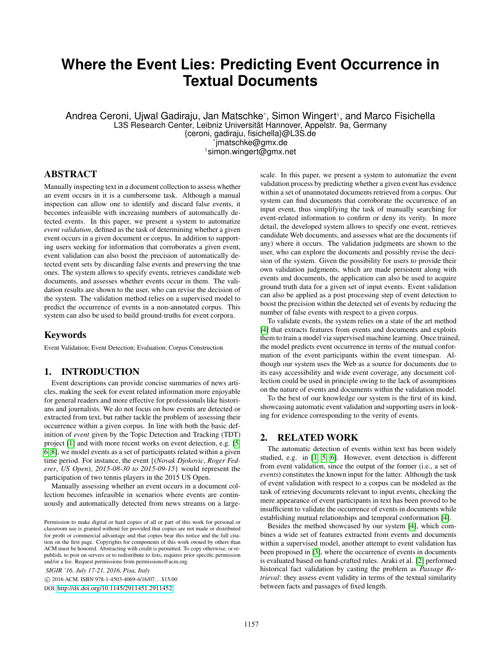# **Where the Event Lies: Predicting Event Occurrence in Textual Documents**

Andrea Ceroni, Ujwal Gadiraju, Jan Matschke\* , Simon Wingert† , and Marco Fisichella L3S Research Center, Leibniz Universität Hannover, Appelstr. 9a, Germany {ceroni, gadiraju, fisichella}@L3S.de \* jmatschke@gmx.de

† simon.wingert@gmx.net

# ABSTRACT

Manually inspecting text in a document collection to assess whether an event occurs in it is a cumbersome task. Although a manual inspection can allow one to identify and discard false events, it becomes infeasible with increasing numbers of automatically detected events. In this paper, we present a system to automatize *event validation*, defined as the task of determining whether a given event occurs in a given document or corpus. In addition to supporting users seeking for information that corroborates a given event, event validation can also boost the precision of automatically detected event sets by discarding false events and preserving the true ones. The system allows to specify events, retrieves candidate web documents, and assesses whether events occur in them. The validation results are shown to the user, who can revise the decision of the system. The validation method relies on a supervised model to predict the occurrence of events in a non-annotated corpus. This system can also be used to build ground-truths for event corpora.

# Keywords

Event Validation; Event Detection; Evaluation; Corpus Construction

## 1. INTRODUCTION

Event descriptions can provide concise summaries of news articles, making the seek for event related information more enjoyable for general readers and more effective for professionals like historians and journalists. We do not focus on how events are detected or extracted from text, but rather tackle the problem of assessing their occurrence within a given corpus. In line with both the basic definition of *event* given by the Topic Detection and Tracking (TDT) project [\[1\]](#page-3-0) and with more recent works on event detection, e.g. [\[5,](#page-3-1) [6,](#page-3-2) [8\]](#page-3-3), we model events as a set of participants related within a given time period. For instance, the event {(*Novak Djokovic*, *Roger Federer*, *US Open*), *2015-08-30 to 2015-09-15*} would represent the participation of two tennis players in the 2015 US Open.

Manually assessing whether an event occurs in a document collection becomes infeasible in scenarios where events are continuously and automatically detected from news streams on a large-

*SIGIR '16, July 17-21, 2016, Pisa, Italy*

 c 2016 ACM. ISBN 978-1-4503-4069-4/16/07. . . \$15.00 DOI: <http://dx.doi.org/10.1145/2911451.2911452>

scale. In this paper, we present a system to automatize the event validation process by predicting whether a given event has evidence within a set of unannotated documents retrieved from a corpus. Our system can find documents that corroborate the occurrence of an input event, thus simplifying the task of manually searching for event-related information to confirm or deny its verity. In more detail, the developed system allows to specify one event, retrieves candidate Web documents, and assesses what are the documents (if any) where it occurs. The validation judgments are shown to the user, who can explore the documents and possibly revise the decision of the system. Given the possibility for users to provide their own validation judgments, which are made persistent along with events and documents, the application can also be used to acquire ground truth data for a given set of input events. Event validation can also be applied as a post processing step of event detection to boost the precision within the detected set of events by reducing the number of false events with respect to a given corpus.

To validate events, the system relies on a state of the art method [\[4\]](#page-3-4) that extracts features from events and documents and exploits them to train a model via supervised machine learning. Once trained, the model predicts event occurrence in terms of the mutual conformation of the event participants within the event timespan. Although our system uses the Web as a source for documents due to its easy accessibility and wide event coverage, any document collection could be used in principle owing to the lack of assumptions on the nature of events and documents within the validation model.

To the best of our knowledge our system is the first of its kind, showcasing automatic event validation and supporting users in looking for evidence corresponding to the verity of events.

# 2. RELATED WORK

The automatic detection of events within text has been widely studied, e.g. in [\[1,](#page-3-0) [5,](#page-3-1) [6\]](#page-3-2). However, event detection is different from event validation, since the output of the former (i.e., a set of *events*) constitutes the known input for the latter. Although the task of event validation with respect to a corpus can be modeled as the task of retrieving documents relevant to input events, checking the mere appearance of event participants in text has been proved to be insufficient to validate the occurrence of events in documents while establishing mutual relationships and temporal conformation [\[4\]](#page-3-4).

Besides the method showcased by our system [\[4\]](#page-3-4), which combines a wide set of features extracted from events and documents within a supervised model, another attempt to event validation has been proposed in [\[3\]](#page-3-5), where the occurrence of events in documents is evaluated based on hand-crafted rules. Araki et al. [\[2\]](#page-3-6) performed historical fact validation by casting the problem as *Passage Retrieval*: they assess event validity in terms of the textual similarity between facts and passages of fixed length.

Permission to make digital or hard copies of all or part of this work for personal or classroom use is granted without fee provided that copies are not made or distributed for profit or commercial advantage and that copies bear this notice and the full citation on the first page. Copyrights for components of this work owned by others than ACM must be honored. Abstracting with credit is permitted. To copy otherwise, or republish, to post on servers or to redistribute to lists, requires prior specific permission and/or a fee. Request permissions from permissions@acm.org.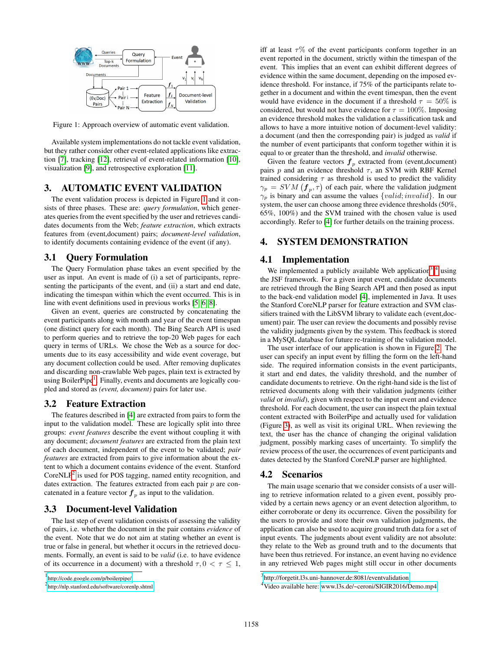<span id="page-1-0"></span>

Figure 1: Approach overview of automatic event validation.

Available system implementations do not tackle event validation, but they rather consider other event-related applications like extraction [\[7\]](#page-3-7), tracking [\[12\]](#page-3-8), retrieval of event-related information [\[10\]](#page-3-9), visualization [\[9\]](#page-3-10), and retrospective exploration [\[11\]](#page-3-11).

# 3. AUTOMATIC EVENT VALIDATION

The event validation process is depicted in Figure [1](#page-1-0) and it consists of three phases. These are: *query formulation*, which generates queries from the event specified by the user and retrieves candidates documents from the Web; *feature extraction*, which extracts features from (event,document) pairs; *document-level validation*, to identify documents containing evidence of the event (if any).

### 3.1 Query Formulation

The Query Formulation phase takes an event specified by the user as input. An event is made of (i) a set of participants, representing the participants of the event, and (ii) a start and end date, indicating the timespan within which the event occurred. This is in line with event definitions used in previous works [\[5,](#page-3-1) [6,](#page-3-2) [8\]](#page-3-3).

Given an event, queries are constructed by concatenating the event participants along with month and year of the event timespan (one distinct query for each month). The Bing Search API is used to perform queries and to retrieve the top-20 Web pages for each query in terms of URLs. We chose the Web as a source for documents due to its easy accessibility and wide event coverage, but any document collection could be used. After removing duplicates and discarding non-crawlable Web pages, plain text is extracted by using BoilerPipe<sup>[1](#page-1-1)</sup>. Finally, events and documents are logically coupled and stored as *(event, document)* pairs for later use.

## 3.2 Feature Extraction

The features described in [\[4\]](#page-3-4) are extracted from pairs to form the input to the validation model. These are logically split into three groups: *event features* describe the event without coupling it with any document; *document features* are extracted from the plain text of each document, independent of the event to be validated; *pair features* are extracted from pairs to give information about the extent to which a document contains evidence of the event. Stanford CoreNLP<sup>[2](#page-1-2)</sup> is used for POS tagging, named entity recognition, and dates extraction. The features extracted from each pair  $p$  are concatenated in a feature vector  $f_p$  as input to the validation.

# <span id="page-1-5"></span>3.3 Document-level Validation

The last step of event validation consists of assessing the validity of pairs, i.e. whether the document in the pair contains *evidence* of the event. Note that we do not aim at stating whether an event is true or false in general, but whether it occurs in the retrieved documents. Formally, an event is said to be *valid* (i.e. to have evidence of its occurrence in a document) with a threshold  $\tau$ ,  $0 < \tau \leq 1$ ,

iff at least  $\tau\%$  of the event participants conform together in an event reported in the document, strictly within the timespan of the event. This implies that an event can exhibit different degrees of evidence within the same document, depending on the imposed evidence threshold. For instance, if 75% of the participants relate together in a document and within the event timespan, then the event would have evidence in the document if a threshold  $\tau = 50\%$  is considered, but would not have evidence for  $\tau = 100\%$ . Imposing an evidence threshold makes the validation a classification task and allows to have a more intuitive notion of document-level validity: a document (and then the corresponding pair) is judged as *valid* if the number of event participants that conform together within it is equal to or greater than the threshold, and *invalid* otherwise.

Given the feature vectors  $f_p$  extracted from (event, document) pairs p and an evidence threshold  $\tau$ , an SVM with RBF Kernel trained considering  $\tau$  as threshold is used to predict the validity  $\gamma_p = SVM\left(\boldsymbol{f}_p, \tau\right)$  of each pair, where the validation judgment  $\gamma_p$  is binary and can assume the values {*valid*; *invalid*}. In our system, the user can choose among three evidence thresholds (50%, 65%, 100%) and the SVM trained with the chosen value is used accordingly. Refer to [\[4\]](#page-3-4) for further details on the training process.

# 4. SYSTEM DEMONSTRATION

## 4.1 Implementation

We implemented a publicly available Web application<sup>[3](#page-1-3),[4](#page-1-4)</sup> using the JSF framework. For a given input event, candidate documents are retrieved through the Bing Search API and then posed as input to the back-end validation model [\[4\]](#page-3-4), implemented in Java. It uses the Stanford CoreNLP parser for feature extraction and SVM classifiers trained with the LibSVM library to validate each (event,document) pair. The user can review the documents and possibly revise the validity judgments given by the system. This feedback is stored in a MySQL database for future re-training of the validation model.

The user interface of our application is shown in Figure [2.](#page-2-0) The user can specify an input event by filling the form on the left-hand side. The required information consists in the event participants, it start and end dates, the validity threshold, and the number of candidate documents to retrieve. On the right-hand side is the list of retrieved documents along with their validation judgments (either *valid* or *invalid*), given with respect to the input event and evidence threshold. For each document, the user can inspect the plain textual content extracted with BoilerPipe and actually used for validation (Figure [3\)](#page-2-1), as well as visit its original URL. When reviewing the text, the user has the chance of changing the original validation judgment, possibly marking cases of uncertainty. To simplify the review process of the user, the occurrences of event participants and dates detected by the Stanford CoreNLP parser are highlighted.

## 4.2 Scenarios

The main usage scenario that we consider consists of a user willing to retrieve information related to a given event, possibly provided by a certain news agency or an event detection algorithm, to either corroborate or deny its occurrence. Given the possibility for the users to provide and store their own validation judgments, the application can also be used to acquire ground truth data for a set of input events. The judgments about event validity are not absolute: they relate to the Web as ground truth and to the documents that have been thus retrieved. For instance, an event having no evidence in any retrieved Web pages might still occur in other documents

<span id="page-1-1"></span><sup>1</sup> <http://code.google.com/p/boilerpipe/>

<span id="page-1-2"></span><sup>2</sup> <http://nlp.stanford.edu/software/corenlp.shtml>

<span id="page-1-3"></span><sup>3</sup> <http://forgetit.l3s.uni-hannover.de:8081/eventvalidation>

<span id="page-1-4"></span><sup>4</sup>Video available here:<www.l3s.de/~ceroni/SIGIR2016/Demo.mp4>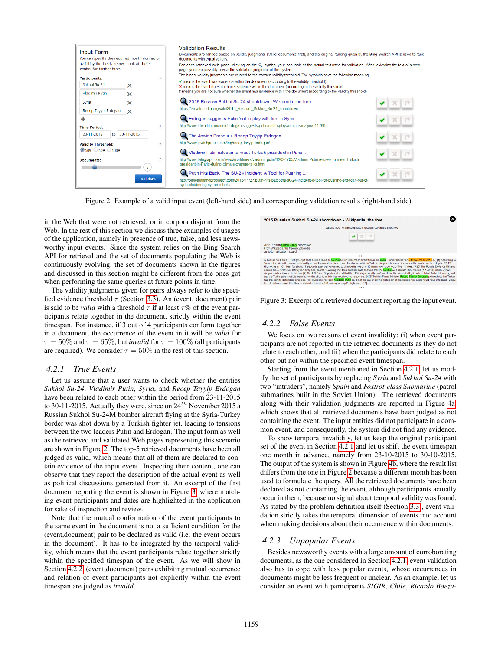<span id="page-2-0"></span>

| Input Form<br>You can specify the required input information<br>by filling the fields below. Look at the '?'<br>symbol for further hints. |                          | <b>Validation Results</b><br>Documents are ranked based on validity judgments ('valid' documents first), and the original ranking given by the Bing Search API is used to rank<br>documents with equal validity.<br>For each retrieved web page, clicking on the $Q$ , symbol your can look at the actual text used for validation. After reviewing the text of a web<br>page, you can possibly revise the validation judgment of the system.<br>The binary validity judgments are related to the chosen validity threshold. The symbols have the following meaning: |  |  |
|-------------------------------------------------------------------------------------------------------------------------------------------|--------------------------|----------------------------------------------------------------------------------------------------------------------------------------------------------------------------------------------------------------------------------------------------------------------------------------------------------------------------------------------------------------------------------------------------------------------------------------------------------------------------------------------------------------------------------------------------------------------|--|--|
| <b>Participants:</b><br>Sukhoi Su-24<br><b>Vladimir Putin</b>                                                                             | $\overline{?}$<br>×<br>× | $\checkmark$ means the event has evidence within the document (according to the validity threshold)<br>X means the event does not have evidence within the document (according to the validity threshold)<br>! means you are not sure whether the event has evidence within the document (according to the validity threshold)                                                                                                                                                                                                                                       |  |  |
| Syria<br>Recep Tayyip Erdogan                                                                                                             | ×<br>$\times$            | Q 2015 Russian Sukhoi Su-24 shootdown - Wikipedia, the free<br>https://en.wikipedia.org/wiki/2015 Russian Sukhoi Su-24 shootdown                                                                                                                                                                                                                                                                                                                                                                                                                                     |  |  |
| $\overline{r}$<br><b>Time Period:</b>                                                                                                     |                          | Erdogan suggests Putin 'not to play with fire' in Syria<br>http://www.trtworld.com/mea/erdogan-suggests-putin-not-to-play-with-fire-in-syria-11760                                                                                                                                                                                                                                                                                                                                                                                                                   |  |  |
| to 30-11-2015<br>23-11-2015<br><b>Validity Threshold:</b><br>$\overline{\mathcal{L}}$                                                     |                          | The Jewish Press » » Recep Tayyip Erdogan<br>http://www.jewishpress.com/tag/recep-tayyip-erdogan/                                                                                                                                                                                                                                                                                                                                                                                                                                                                    |  |  |
| $\times$ 50% $\circ$ 60% $\circ$ 100%<br>$\overline{?}$<br>Documents:<br>Validate                                                         |                          | Vladimir Putin refuses to meet Turkish president in Paris<br>http://www.telegraph.co.uk/news/worldnews/vladimir-putin/12024705/Vladimir-Putin-refuses-to-meet-Turkish-<br>president-in-Paris-during-climate-change-talks.html                                                                                                                                                                                                                                                                                                                                        |  |  |
|                                                                                                                                           |                          | Putin Hits Back. The SU-24 Incident: A Tool for Pushing<br>http://bibletruthandprophecy.com/2015/11/27/putin-hits-back-the-su-24-incident-a-tool-for-pushing-erdogan-out-of-<br>syria-clobbering-syrian-rebels/                                                                                                                                                                                                                                                                                                                                                      |  |  |

Figure 2: Example of a valid input event (left-hand side) and corresponding validation results (right-hand side).

in the Web that were not retrieved, or in corpora disjoint from the Web. In the rest of this section we discuss three examples of usages of the application, namely in presence of true, false, and less newsworthy input events. Since the system relies on the Bing Search API for retrieval and the set of documents populating the Web is continuously evolving, the set of documents shown in the figures and discussed in this section might be different from the ones got when performing the same queries at future points in time.

The validity judgments given for pairs always refer to the specified evidence threshold  $\tau$  (Section [3.3\)](#page-1-5). An (event, document) pair is said to be *valid* with a threshold  $\tau$  if at least  $\tau$ % of the event participants relate together in the document, strictly within the event timespan. For instance, if 3 out of 4 participants conform together in a document, the occurrence of the event in it will be *valid* for  $\tau = 50\%$  and  $\tau = 65\%$ , but *invalid* for  $\tau = 100\%$  (all participants are required). We consider  $\tau = 50\%$  in the rest of this section.

### <span id="page-2-3"></span>*4.2.1 True Events*

Let us assume that a user wants to check whether the entities *Sukhoi Su-24*, *Vladimir Putin*, *Syria*, and *Recep Tayyip Erdogan* have been related to each other within the period from 23-11-2015 to 30-11-2015. Actually they were, since on  $24^{th}$  November 2015 a Russian Sukhoi Su-24M bomber aircraft flying at the Syria-Turkey border was shot down by a Turkish fighter jet, leading to tensions between the two leaders Putin and Erdogan. The input form as well as the retrieved and validated Web pages representing this scenario are shown in Figure [2.](#page-2-0) The top-5 retrieved documents have been all judged as valid, which means that all of them are declared to contain evidence of the input event. Inspecting their content, one can observe that they report the description of the actual event as well as political discussions generated from it. An excerpt of the first document reporting the event is shown in Figure [3,](#page-2-1) where matching event participants and dates are highlighted in the application for sake of inspection and review.

Note that the mutual conformation of the event participants to the same event in the document is not a sufficient condition for the (event,document) pair to be declared as valid (i.e. the event occurs in the document). It has to be integrated by the temporal validity, which means that the event participants relate together strictly within the specified timespan of the event. As we will show in Section [4.2.2,](#page-2-2) (event,document) pairs exhibiting mutual occurrence and relation of event participants not explicitly within the event timespan are judged as *invalid*.

<span id="page-2-1"></span>

Figure 3: Excerpt of a retrieved document reporting the input event.

#### <span id="page-2-2"></span>*4.2.2 False Events*

We focus on two reasons of event invalidity: (i) when event participants are not reported in the retrieved documents as they do not relate to each other, and (ii) when the participants did relate to each other but not within the specified event timespan.

Starting from the event mentioned in Section [4.2.1,](#page-2-3) let us modify the set of participants by replacing *Syria* and *Sukhoi Su-24* with two "intruders", namely *Spain* and *Foxtrot-class Submarine* (patrol submarines built in the Soviet Union). The retrieved documents along with their validation judgments are reported in Figure [4a,](#page-3-12) which shows that all retrieved documents have been judged as not containing the event. The input entities did not participate in a common event, and consequently, the system did not find any evidence.

To show temporal invalidity, let us keep the original participant set of the event in Section [4.2.1](#page-2-3) and let us shift the event timespan one month in advance, namely from 23-10-2015 to 30-10-2015. The output of the system is shown in Figure [4b,](#page-3-12) where the result list differs from the one in Figure [2](#page-2-0) because a different month has been used to formulate the query. All the retrieved documents have been declared as not containing the event, although participants actually occur in them, because no signal about temporal validity was found. As stated by the problem definition itself (Section [3.3\)](#page-1-5), event validation strictly takes the temporal dimension of events into account when making decisions about their occurrence within documents.

#### *4.2.3 Unpopular Events*

Besides newsworthy events with a large amount of corroborating documents, as the one considered in Section [4.2.1,](#page-2-3) event validation also has to cope with less popular events, whose occurrences in documents might be less frequent or unclear. As an example, let us consider an event with participants *SIGIR*, *Chile*, *Ricardo Baeza-*